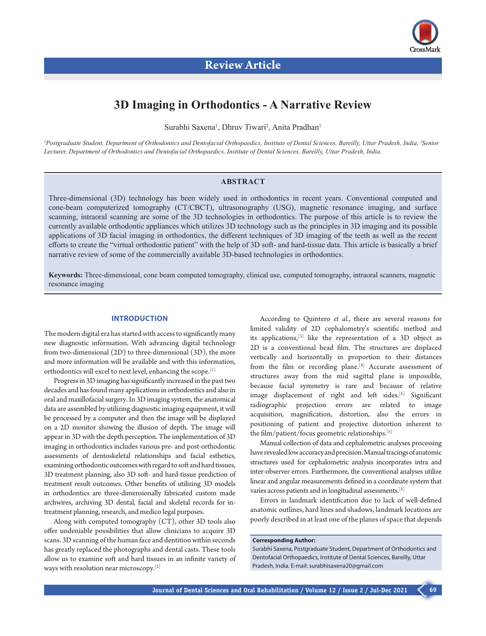

# **3D Imaging in Orthodontics - A Narrative Review**

Surabhi Saxena<sup>1</sup>, Dhruv Tiwari<sup>2</sup>, Anita Pradhan<sup>1</sup>

*1 Postgraduate Student, Department of Orthodontics and Dentofacial Orthopaedics, Institute of Dental Sciences, Bareilly, Uttar Pradesh, India, 2 Senior Lecturer, Department of Orthodontics and Dentofacial Orthopaedics, Institute of Dental Sciences, Bareilly, Uttar Pradesh, India.* 

# **ABSTRACT**

Three-dimensional (3D) technology has been widely used in orthodontics in recent years. Conventional computed and cone-beam computerized tomography (CT/CBCT), ultrasonography (USG), magnetic resonance imaging, and surface scanning, intraoral scanning are some of the 3D technologies in orthodontics. The purpose of this article is to review the currently available orthodontic appliances which utilizes 3D technology such as the principles in 3D imaging and its possible applications of 3D facial imaging in orthodontics, the different techniques of 3D imaging of the teeth as well as the recent efforts to create the "virtual orthodontic patient" with the help of 3D soft- and hard-tissue data. This article is basically a brief narrative review of some of the commercially available 3D-based technologies in orthodontics.

**Keywords:** Three-dimensional, cone beam computed tomography, clinical use, computed tomography, intraoral scanners, magnetic resonance imaging

# **INTRODUCTION**

The modern digital era has started with access to significantly many new diagnostic information. With advancing digital technology from two-dimensional (2D) to three-dimensional (3D), the more and more information will be available and with this information, orthodontics will excel to next level, enhancing the scope.[1]

Progress in 3D imaging has significantly increased in the past two decades and has found many applications in orthodontics and also in oral and maxillofacial surgery. In 3D imaging system, the anatomical data are assembled by utilizing diagnostic imaging equipment, it will be processed by a computer and then the image will be displayed on a 2D monitor showing the illusion of depth. The image will appear in 3D with the depth perception. The implementation of 3D imaging in orthodontics includes various pre- and post-orthodontic assessments of dentoskeletal relationships and facial esthetics, examining orthodontic outcomes with regard to soft and hard tissues, 3D treatment planning, also 3D soft- and hard-tissue prediction of treatment result outcomes. Other benefits of utilizing 3D models in orthodontics are three-dimensionally fabricated custom made archwires, archiving 3D dental, facial and skeletal records for intreatment planning, research, and medico legal purposes.

Along with computed tomography (CT), other 3D tools also offer undeniable possibilities that allow clinicians to acquire 3D scans. 3D scanning of the human face and dentition within seconds has greatly replaced the photographs and dental casts. These tools allow us to examine soft and hard tissues in an infinite variety of ways with resolution near microscopy.[2]

According to Quintero *et al.*, there are several reasons for limited validity of 2D cephalometry's scientific method and its applications,[3] like the representation of a 3D object as 2D is a conventional head film. The structures are displaced vertically and horizontally in proportion to their distances from the film or recording plane.<sup>[4]</sup> Accurate assessment of structures away from the mid sagittal plane is impossible, because facial symmetry is rare and because of relative image displacement of right and left sides.<sup>[5]</sup> Significant radiographic projection errors are related to image acquisition, magnification, distortion, also the errors in positioning of patient and projective distortion inherent to the film/patient/focus geometric relationships.<sup>[5]</sup>

Manual collection of data and cephalometric analyses processing have revealed low accuracy and precision. Manual tracings of anatomic structures used for cephalometric analysis incorporates intra and inter-observer errors. Furthermore, the conventional analyses utilize linear and angular measurements defined in a coordinate system that varies across patients and in longitudinal assessments.[5]

Errors in landmark identification due to lack of well-defined anatomic outlines, hard lines and shadows, landmark locations are poorly described in at least one of the planes of space that depends

**Corresponding Author:** 

Surabhi Saxena, Postgraduate Student, Department of Orthodontics and Dentofacial Orthopaedics, Institute of Dental Sciences, Bareilly, Uttar Pradesh, India. E-mail: surabhisaxena20@gmail.com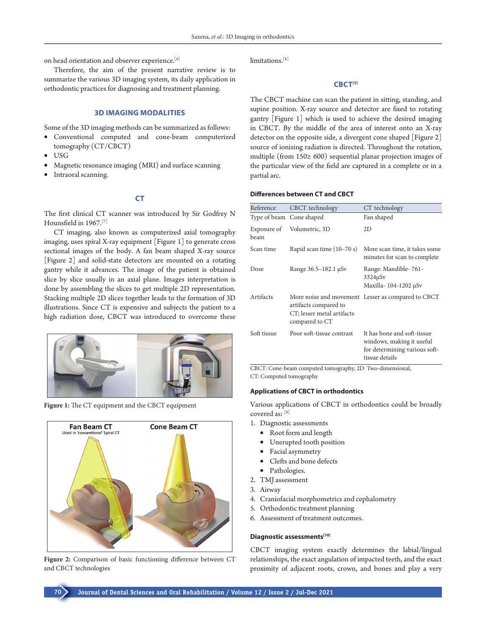on head orientation and observer experience.<sup>[6]</sup>

Therefore, the aim of the present narrative review is to summarize the various 3D imaging system, its daily application in orthodontic practices for diagnosing and treatment planning.

# **3D IMAGING MODALITIES**

Some of the 3D imaging methods can be summarized as follows:

- • Conventional computed and cone-beam computerized tomography (CT/CBCT)
- USG
- Magnetic resonance imaging (MRI) and surface scanning
- Intraoral scanning.

**CT**

The first clinical CT scanner was introduced by Sir Godfrey N Hounsfield in 1967.[7]

CT imaging, also known as computerized axial tomography imaging, uses spiral X-ray equipment [Figure 1] to generate cross sectional images of the body. A fan beam shaped X-ray source [Figure 2] and solid-state detectors are mounted on a rotating gantry while it advances. The image of the patient is obtained slice by slice usually in an axial plane. Images interpretation is done by assembling the slices to get multiple 2D representation. Stacking multiple 2D slices together leads to the formation of 3D illustrations. Since CT is expensive and subjects the patient to a high radiation dose, CBCT was introduced to overcome these



**Figure 1:** The CT equipment and the CBCT equipment



**Figure 2:** Comparison of basic functioning difference between CT and CBCT technologies

limitations.<sup>[8]</sup>

# **CBCT[9]**

The CBCT machine can scan the patient in sitting, standing, and supine position. X-ray source and detector are fixed to rotating gantry [Figure 1] which is used to achieve the desired imaging in CBCT. By the middle of the area of interest onto an X-ray detector on the opposite side, a divergent cone shaped [Figure 2] source of ionizing radiation is directed. Throughout the rotation, multiple (from 150≥ 600) sequential planar projection images of the particular view of the field are captured in a complete or in a partial arc.

#### **Differences between CT and CBCT**

| Reference                | CBCT technology                                                       | CT technology                                                                                               |
|--------------------------|-----------------------------------------------------------------------|-------------------------------------------------------------------------------------------------------------|
| Type of beam Cone shaped |                                                                       | Fan shaped                                                                                                  |
| Exposure of<br>beam      | Volumetric, 3D                                                        | 2D                                                                                                          |
| Scan time                | Rapid scan time (10–70 s)                                             | More scan time, it takes some<br>minutes for scan to complete                                               |
| Dose                     | Range 36.5–182.1 µSv                                                  | Range: Mandible-761-<br>$3324\mu Sv$<br>Maxilla-104-1202 μSv                                                |
| Artifacts                | artifacts compared to<br>CT; lesser metal artifacts<br>compared to CT | More noise and movement Lesser as compared to CBCT                                                          |
| Soft tissue              | Poor soft-tissue contrast                                             | It has bone and soft-tissue<br>windows, making it useful<br>for determining various soft-<br>tissue details |

CBCT: Cone-beam computed tomography, 2D: Two-dimensional, CT: Computed tomography

#### **Applications of CBCT in orthodontics**

Various applications of CBCT in orthodontics could be broadly covered as: [8]

1. Diagnostic assessments

- • Root form and length
- • Unerupted tooth position
- Facial asymmetry
- Clefts and bone defects
- • Pathologies.
- 2. TMJ assessment
- 3. Airway
- 4. Craniofacial morphometrics and cephalometry
- 5. Orthodontic treatment planning
- 6. Assessment of treatment outcomes.

### **Diagnostic assessments[10]**

CBCT imaging system exactly determines the labial/lingual relationships, the exact angulation of impacted teeth, and the exact proximity of adjacent roots, crown, and bones and play a very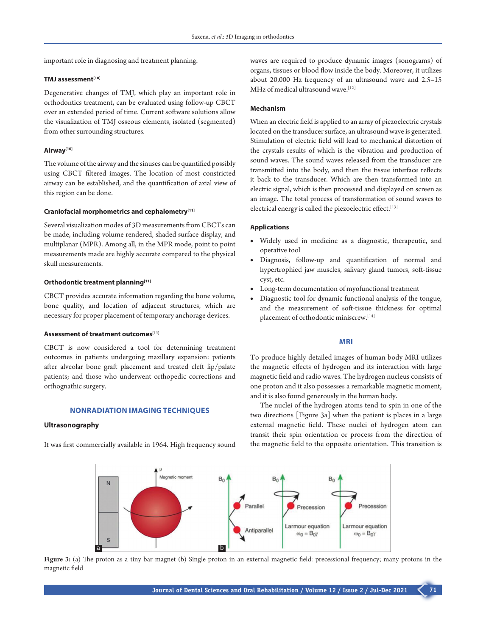important role in diagnosing and treatment planning.

# **TMJ assessment[10]**

Degenerative changes of TMJ, which play an important role in orthodontics treatment, can be evaluated using follow-up CBCT over an extended period of time. Current software solutions allow the visualization of TMJ osseous elements, isolated (segmented) from other surrounding structures.

## **Airway[10]**

The volume of the airway and the sinuses can be quantified possibly using CBCT filtered images. The location of most constricted airway can be established, and the quantification of axial view of this region can be done.

### **Craniofacial morphometrics and cephalometry[11]**

Several visualization modes of 3D measurements from CBCTs can be made, including volume rendered, shaded surface display, and multiplanar (MPR). Among all, in the MPR mode, point to point measurements made are highly accurate compared to the physical skull measurements.

### **Orthodontic treatment planning[11]**

CBCT provides accurate information regarding the bone volume, bone quality, and location of adjacent structures, which are necessary for proper placement of temporary anchorage devices.

# **Assessment of treatment outcomes[11]**

CBCT is now considered a tool for determining treatment outcomes in patients undergoing maxillary expansion: patients after alveolar bone graft placement and treated cleft lip/palate patients; and those who underwent orthopedic corrections and orthognathic surgery.

### **NONRADIATION IMAGING TECHNIQUES**

### **Ultrasonography**

It was first commercially available in 1964. High frequency sound

waves are required to produce dynamic images (sonograms) of organs, tissues or blood flow inside the body. Moreover, it utilizes about 20,000 Hz frequency of an ultrasound wave and 2.5–15 MHz of medical ultrasound wave.<sup>[12]</sup>

### **Mechanism**

When an electric field is applied to an array of piezoelectric crystals located on the transducer surface, an ultrasound wave is generated. Stimulation of electric field will lead to mechanical distortion of the crystals results of which is the vibration and production of sound waves. The sound waves released from the transducer are transmitted into the body, and then the tissue interface reflects it back to the transducer. Which are then transformed into an electric signal, which is then processed and displayed on screen as an image. The total process of transformation of sound waves to electrical energy is called the piezoelectric effect.<sup>[13]</sup>

# **Applications**

- Widely used in medicine as a diagnostic, therapeutic, and operative tool
- Diagnosis, follow-up and quantification of normal and hypertrophied jaw muscles, salivary gland tumors, soft-tissue cyst, etc.
- Long-term documentation of myofunctional treatment
- Diagnostic tool for dynamic functional analysis of the tongue, and the measurement of soft-tissue thickness for optimal placement of orthodontic miniscrew.<sup>[14]</sup>

# **MRI**

To produce highly detailed images of human body MRI utilizes the magnetic effects of hydrogen and its interaction with large magnetic field and radio waves. The hydrogen nucleus consists of one proton and it also possesses a remarkable magnetic moment, and it is also found generously in the human body.

The nuclei of the hydrogen atoms tend to spin in one of the two directions [Figure 3a] when the patient is places in a large external magnetic field. These nuclei of hydrogen atom can transit their spin orientation or process from the direction of the magnetic field to the opposite orientation. This transition is



**Figure 3:** (a) The proton as a tiny bar magnet (b) Single proton in an external magnetic field: precessional frequency; many protons in the magnetic field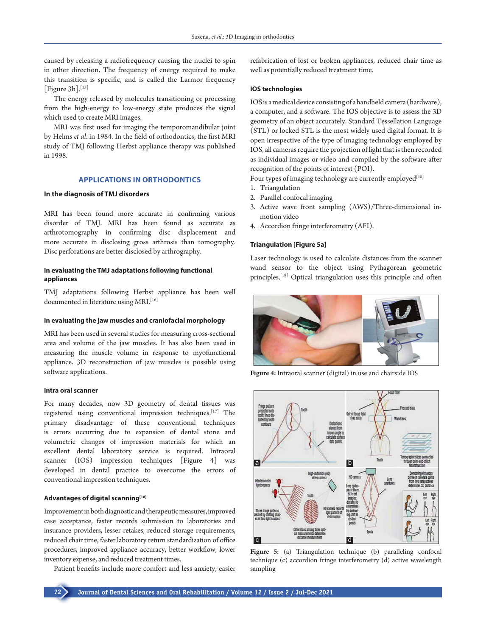caused by releasing a radiofrequency causing the nuclei to spin in other direction. The frequency of energy required to make this transition is specific, and is called the Larmor frequency [Figure  $3b$ ].<sup>[15]</sup>

The energy released by molecules transitioning or processing from the high-energy to low-energy state produces the signal which used to create MRI images.

MRI was first used for imaging the temporomandibular joint by Helms *et al*. in 1984. In the field of orthodontics, the first MRI study of TMJ following Herbst appliance therapy was published in 1998.

# **APPLICATIONS IN ORTHODONTICS**

### **In the diagnosis of TMJ disorders**

MRI has been found more accurate in confirming various disorder of TMJ. MRI has been found as accurate as arthrotomography in confirming disc displacement and more accurate in disclosing gross arthrosis than tomography. Disc perforations are better disclosed by arthrography.

# **In evaluating the TMJ adaptations following functional appliances**

TMJ adaptations following Herbst appliance has been well documented in literature using MRI.<sup>[16]</sup>

#### **In evaluating the jaw muscles and craniofacial morphology**

MRI has been used in several studies for measuring cross-sectional area and volume of the jaw muscles. It has also been used in measuring the muscle volume in response to myofunctional appliance. 3D reconstruction of jaw muscles is possible using software applications.

### **Intra oral scanner**

For many decades, now 3D geometry of dental tissues was registered using conventional impression techniques.[17] The primary disadvantage of these conventional techniques is errors occurring due to expansion of dental stone and volumetric changes of impression materials for which an excellent dental laboratory service is required. Intraoral scanner (IOS) impression techniques [Figure 4] was developed in dental practice to overcome the errors of conventional impression techniques.

### **Advantages of digital scanning[18]**

Improvement in both diagnostic and therapeutic measures, improved case acceptance, faster records submission to laboratories and insurance providers, lesser retakes, reduced storage requirements, reduced chair time, faster laboratory return standardization of office procedures, improved appliance accuracy, better workflow, lower inventory expense, and reduced treatment times.

Patient benefits include more comfort and less anxiety, easier

refabrication of lost or broken appliances, reduced chair time as well as potentially reduced treatment time.

#### **IOS technologies**

IOS is a medical device consisting of a handheld camera (hardware), a computer, and a software. The IOS objective is to assess the 3D geometry of an object accurately. Standard Tessellation Language (STL) or locked STL is the most widely used digital format. It is open irrespective of the type of imaging technology employed by IOS, all cameras require the projection of light that is then recorded as individual images or video and compiled by the software after recognition of the points of interest (POI).

Four types of imaging technology are currently employed<sup>[18]</sup>

- 1. Triangulation
- 2. Parallel confocal imaging
- 3. Active wave front sampling (AWS)/Three-dimensional inmotion video
- 4. Accordion fringe interferometry (AFI).

### **Triangulation [Figure 5a]**

Laser technology is used to calculate distances from the scanner wand sensor to the object using Pythagorean geometric principles.<sup>[18]</sup> Optical triangulation uses this principle and often



**Figure 4:** Intraoral scanner (digital) in use and chairside IOS



**Figure 5:** (a) Triangulation technique (b) paralleling confocal technique (c) accordion fringe interferometry (d) active wavelength sampling